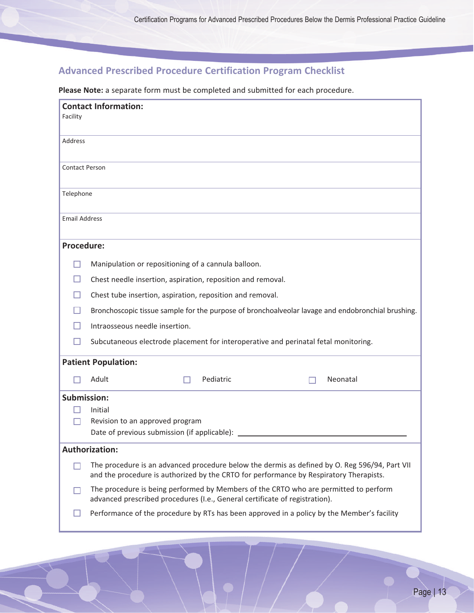## **Advanced Prescribed Procedure Certification Program Checklist**

**Please Note:** a separate form must be completed and submitted for each procedure.

| Facility                   | <b>Contact Information:</b>                                                                                                                                                             |
|----------------------------|-----------------------------------------------------------------------------------------------------------------------------------------------------------------------------------------|
| Address                    |                                                                                                                                                                                         |
| <b>Contact Person</b>      |                                                                                                                                                                                         |
| Telephone                  |                                                                                                                                                                                         |
| <b>Email Address</b>       |                                                                                                                                                                                         |
| <b>Procedure:</b>          |                                                                                                                                                                                         |
|                            | Manipulation or repositioning of a cannula balloon.                                                                                                                                     |
|                            | Chest needle insertion, aspiration, reposition and removal.                                                                                                                             |
|                            | Chest tube insertion, aspiration, reposition and removal.                                                                                                                               |
|                            | Bronchoscopic tissue sample for the purpose of bronchoalveolar lavage and endobronchial brushing.                                                                                       |
|                            | Intraosseous needle insertion.                                                                                                                                                          |
|                            | Subcutaneous electrode placement for interoperative and perinatal fetal monitoring.                                                                                                     |
| <b>Patient Population:</b> |                                                                                                                                                                                         |
|                            | Adult<br>Pediatric<br>Neonatal                                                                                                                                                          |
| <b>Submission:</b>         |                                                                                                                                                                                         |
|                            | Initial                                                                                                                                                                                 |
|                            | Revision to an approved program<br>Date of previous submission (if applicable): ________                                                                                                |
| <b>Authorization:</b>      |                                                                                                                                                                                         |
|                            | The procedure is an advanced procedure below the dermis as defined by O. Reg 596/94, Part VII<br>and the procedure is authorized by the CRTO for performance by Respiratory Therapists. |
|                            | The procedure is being performed by Members of the CRTO who are permitted to perform<br>advanced prescribed procedures (I.e., General certificate of registration).                     |
|                            | Performance of the procedure by RTs has been approved in a policy by the Member's facility                                                                                              |